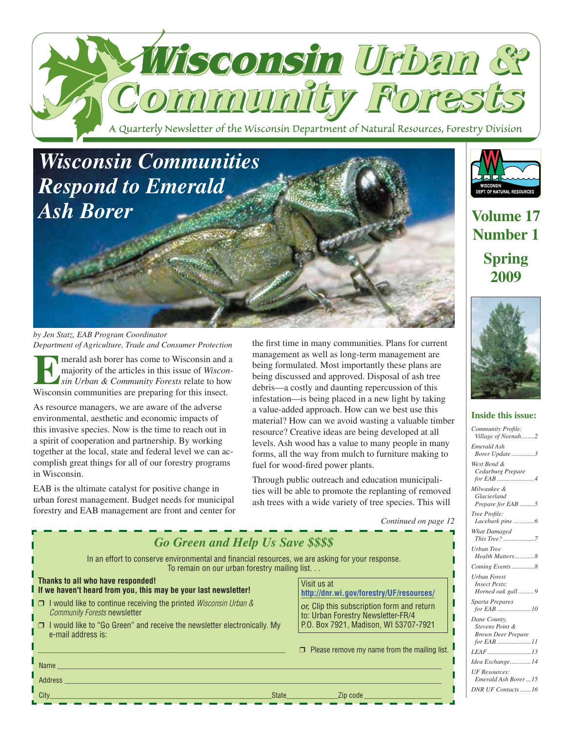

# *Wisconsin Communities Respond to Emerald Ash Borer*

*by Jen Statz, EAB Program Coordinator Department of Agriculture, Trade and Consumer Protection*

**Example 3** majority of the articles in this issue of *Wisconsin Urban & Community Forests* relate to how Wisconsin communities are preparing for this insect. majority of the articles in this issue of *Wisconsin Urban & Community Forests* relate to how Wisconsin communities are preparing for this insect.

As resource managers, we are aware of the adverse environmental, aesthetic and economic impacts of this invasive species. Now is the time to reach out in a spirit of cooperation and partnership. By working together at the local, state and federal level we can accomplish great things for all of our forestry programs in Wisconsin.

EAB is the ultimate catalyst for positive change in urban forest management. Budget needs for municipal forestry and EAB management are front and center for the first time in many communities. Plans for current management as well as long-term management are being formulated. Most importantly these plans are being discussed and approved. Disposal of ash tree debris—a costly and daunting repercussion of this infestation—is being placed in a new light by taking a value-added approach. How can we best use this material? How can we avoid wasting a valuable timber resource? Creative ideas are being developed at all levels. Ash wood has a value to many people in many forms, all the way from mulch to furniture making to fuel for wood-fired power plants.

Through public outreach and education municipalities will be able to promote the replanting of removed ash trees with a wide variety of tree species. This will

*Continued on page 12*

| <b>Go Green and Help Us Save \$\$\$\$</b><br>In an effort to conserve environmental and financial resources, we are asking for your response.<br>To remain on our urban forestry mailing list<br>Thanks to all who have responded!<br>Visit us at<br>I If we haven't heard from you, this may be your last newsletter!<br>http://dnr.wi.gov/forestry/UF/resources/<br>$\Box$ I would like to continue receiving the printed <i>Wisconsin Urban &amp;</i><br>or, Clip this subscription form and return<br><b>Community Forests newsletter</b><br>to: Urban Forestry Newsletter-FR/4<br>P.O. Box 7921, Madison, WI 53707-7921<br>□ I would like to "Go Green" and receive the newsletter electronically. My<br>e-mail address is:<br>$\Box$ Please remove my name from the mailing list. | What Damaged<br>Urban Tree<br>Health Matters8<br>Coming Events  8<br><b>Urban Forest</b><br><b>Insect Pests:</b><br>Horned oak gall9<br>Sparta Prepares<br>Dane County,<br>Stevens Point &<br><b>Brown Deer Prepare</b><br>Idea Exchange14 |
|-----------------------------------------------------------------------------------------------------------------------------------------------------------------------------------------------------------------------------------------------------------------------------------------------------------------------------------------------------------------------------------------------------------------------------------------------------------------------------------------------------------------------------------------------------------------------------------------------------------------------------------------------------------------------------------------------------------------------------------------------------------------------------------------|--------------------------------------------------------------------------------------------------------------------------------------------------------------------------------------------------------------------------------------------|
| Name<br>Address<br>City<br>State <b>State State State State State State State State State State State State State State State State State State State State State State State State State State State</b>                                                                                                                                                                                                                                                                                                                                                                                                                                                                                                                                                                               | <b>UF Resources:</b><br>Emerald Ash Borer  15<br>DNR UF Contacts16                                                                                                                                                                         |

WISCONSIN<br>DEPT. OF NATURAL RESOURCES

**Volume 17 Number 1 Spring 2009**



#### **Inside this issue:**

Community Profile: *Village of Neenah... Emerald Ash Borer Update ..............3 West Bend & Cedarburg Prepare for EAB .... Milwaukee & Glacierland Prepare for EAB .... Tree Profi le:* Lacebark pine.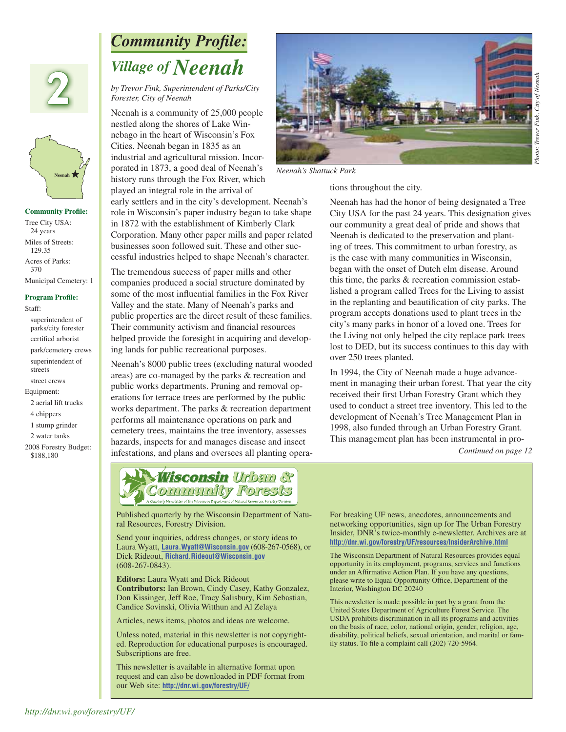



**Community Profile:** Tree City USA: 24 years Miles of Streets: 129.35 Acres of Parks: 370 Municipal Cemetery: 1

#### **Program Profile:**

Staff:

 superintendent of parks/city forester certified arborist park/cemetery crews superintendent of streets street crews

#### Equipment:

- 2 aerial lift trucks
- 4 chippers
- 1 stump grinder
- 2 water tanks
- 2008 Forestry Budget: \$188,180

## *Community Profile: Village of Neenah*

*by Trevor Fink, Superintendent of Parks/City Forester, City of Neenah*

Neenah is a community of 25,000 people nestled along the shores of Lake Winnebago in the heart of Wisconsin's Fox Cities. Neenah began in 1835 as an industrial and agricultural mission. Incorporated in 1873, a good deal of Neenah's history runs through the Fox River, which played an integral role in the arrival of

early settlers and in the city's development. Neenah's role in Wisconsin's paper industry began to take shape in 1872 with the establishment of Kimberly Clark Corporation. Many other paper mills and paper related businesses soon followed suit. These and other successful industries helped to shape Neenah's character.

The tremendous success of paper mills and other companies produced a social structure dominated by some of the most influential families in the Fox River Valley and the state. Many of Neenah's parks and public properties are the direct result of these families. Their community activism and financial resources helped provide the foresight in acquiring and developing lands for public recreational purposes.

Neenah's 8000 public trees (excluding natural wooded areas) are co-managed by the parks & recreation and public works departments. Pruning and removal operations for terrace trees are performed by the public works department. The parks & recreation department performs all maintenance operations on park and cemetery trees, maintains the tree inventory, assesses hazards, inspects for and manages disease and insect infestations, and plans and oversees all planting opera-



*Neenah's Shattuck Park*

tions throughout the city.

Neenah has had the honor of being designated a Tree City USA for the past 24 years. This designation gives our community a great deal of pride and shows that Neenah is dedicated to the preservation and planting of trees. This commitment to urban forestry, as is the case with many communities in Wisconsin, began with the onset of Dutch elm disease. Around this time, the parks & recreation commission established a program called Trees for the Living to assist in the replanting and beautification of city parks. The program accepts donations used to plant trees in the city's many parks in honor of a loved one. Trees for the Living not only helped the city replace park trees lost to DED, but its success continues to this day with over 250 trees planted.

In 1994, the City of Neenah made a huge advancement in managing their urban forest. That year the city received their first Urban Forestry Grant which they used to conduct a street tree inventory. This led to the development of Neenah's Tree Management Plan in 1998, also funded through an Urban Forestry Grant. This management plan has been instrumental in pro-

*Continued on page 12*



Published quarterly by the Wisconsin Department of Natu-<br>ral Resources, Forestry Division. ral Resources, Forestry Division.

Send your inquiries, address changes, or story ideas to Laura Wyatt, Laura.Wyatt@Wisconsin.gov (608-267-0568), or<br>Dick Rideout, <u>Richard.Rideout@Wisconsin.gov</u><br>(608-267-0843).<br>**Editors:** Laura Wyatt and Dick Rideout Dick Rideout, **Richard.Rideout@Wisconsin.gov** (608-267-0843).

**Editors:** Laura Wyatt and Dick Rideout Contributors: Ian Brown, Cindy Casey, Kathy Gonzalez, **Contributors:** Ian Brown, Cindy Casey, Kathy Gonzalez, Don Kissinger, Jeff Roe, Tracy Salisbury, Kim Sebastian, Candice Sovinski, Olivia Witthun and Al Zelaya

Articles, news items, photos and ideas are welcome.

Unless noted, material in this newsletter is not copyrighted. Reproduction for educational purposes is encouraged. Subscriptions are free. Unless noted, material in this newsletter is not copyriged. Reproduction for educational purposes is encourag<br>Subscriptions are free.<br>This newsletter is available in alternative format upon

This newsletter is available in alternative format upon request and can also be downloaded in PDF format from our Web site: **http://dnr.wi.gov/forestry/UF/** and the site of the word of the site of the site of the site of the site of the site of the site of the site of the site of the site of the site of the site of the site of the For breaking UF news, anecdotes, announcements and networking opportunities, sign up for The Urban Forestry Insider, DNR's twice-monthly e-newsletter. Archives are at **forestry/UF/resources/InsiderArchive.html http://dnr.wi.gov/forestry/UF/resources/InsiderArchive.html**

The Wisconsin Department of Natural Resources provides equal opportunity in its employment, programs, services and functions under an Affirmative Action Plan. If you have any questions, please write to Equal Opportunity Office, Department of the Interior, Washington DC 20240

This newsletter is made possible in part by a grant from the United States Department of Agriculture Forest Service. The USDA prohibits discrimination in all its programs and activities on the basis of race, color, national origin, gender, religion, age, disability, political beliefs, sexual orientation, and marital or family status. To file a complaint call (202) 720-5964.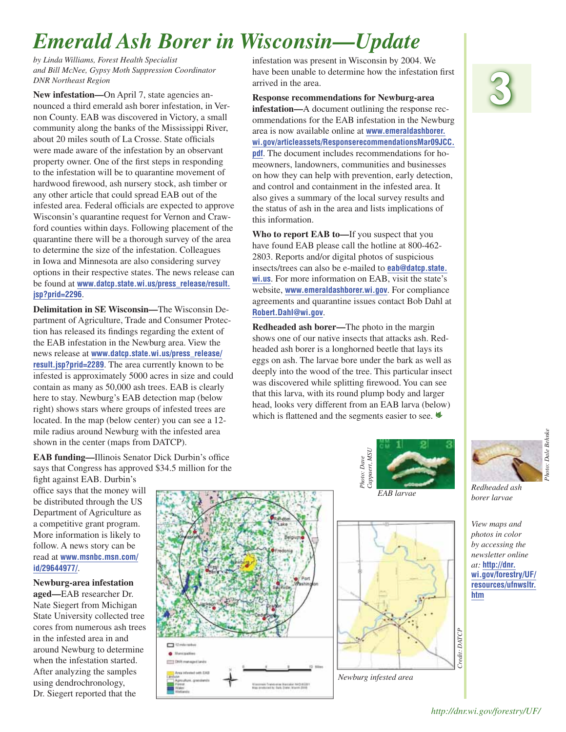# *Emerald Ash Borer in Wisconsin—Update*

*by Linda Williams, Forest Health Specialist and Bill McNee, Gypsy Moth Suppression Coordinator DNR Northeast Region*

**New infestation—**On April 7, state agencies announced a third emerald ash borer infestation, in Vernon County. EAB was discovered in Victory, a small community along the banks of the Mississippi River, about 20 miles south of La Crosse. State officials were made aware of the infestation by an observant property owner. One of the first steps in responding to the infestation will be to quarantine movement of hardwood firewood, ash nursery stock, ash timber or any other article that could spread EAB out of the infested area. Federal officials are expected to approve Wisconsin's quarantine request for Vernon and Crawford counties within days. Following placement of the quarantine there will be a thorough survey of the area to determine the size of the infestation. Colleagues in Iowa and Minnesota are also considering survey options in their respective states. The news release can be found at **[www.datcp.state.wi.us/press\\_release/result.](www.datcp.state.wi.us/press_release/result.jsp?prid=2296) [jsp?prid=2296](www.datcp.state.wi.us/press_release/result.jsp?prid=2296)**.

**Delimitation in SE Wisconsin—**The Wisconsin Department of Agriculture, Trade and Consumer Protection has released its findings regarding the extent of the EAB infestation in the Newburg area. View the news release at **[www.datcp.state.wi.us/press\\_release/](www.datcp.state.wi.us/press_release/result.jsp?prid=2289) [result.jsp?prid=2289](www.datcp.state.wi.us/press_release/result.jsp?prid=2289)**. The area currently known to be infested is approximately 5000 acres in size and could contain as many as 50,000 ash trees. EAB is clearly here to stay. Newburg's EAB detection map (below right) shows stars where groups of infested trees are located. In the map (below center) you can see a 12 mile radius around Newburg with the infested area shown in the center (maps from DATCP).

**EAB funding—Illinois Senator Dick Durbin's office** says that Congress has approved \$34.5 million for the

> **CO** SZ mile radius **COLD DVR managed land**

> > ie francoriae Marcaler Nethibiti<br>Arractis; dads (bate: March (1998)

fight against EAB. Durbin's office says that the money will be distributed through the US Department of Agriculture as a competitive grant program. More information is likely to follow. A news story can be read at **[www.msnbc.msn.com/](www.msnbc.msn.com/id/29644977/) [id/29644977/](www.msnbc.msn.com/id/29644977/)**.

**Newburg-area infestation aged—**EAB researcher Dr. Nate Siegert from Michigan State University collected tree cores from numerous ash trees in the infested area in and around Newburg to determine when the infestation started. After analyzing the samples using dendrochronology, Dr. Siegert reported that the

infestation was present in Wisconsin by 2004. We have been unable to determine how the infestation first arrived in the area.

**Response recommendations for Newburg-area infestation—**A document outlining the response recommendations for the EAB infestation in the Newburg area is now available online at **[www.emeraldashborer.](www.emeraldashborer.wi.gov/articleassets/ResponserecommendationsMar09JCC.pdf) [wi.gov/articleassets/ResponserecommendationsMar09JCC.](www.emeraldashborer.wi.gov/articleassets/ResponserecommendationsMar09JCC.pdf) pdf**. The document includes recommendations for homeowners, landowners, communities and businesses on how they can help with prevention, early detection, and control and containment in the infested area. It also gives a summary of the local survey results and the status of ash in the area and lists implications of this information.

**Who to report EAB to—**If you suspect that you have found EAB please call the hotline at 800-462- 2803. Reports and/or digital photos of suspicious insects/trees can also be e-mailed to **[eab@datcp.state.](eab@datcp.state.wi.us) wi.us**. For more information on EAB, visit the state's website, **www.emeraldashborer.wi.gov**. For compliance agreements and quarantine issues contact Bob Dahl at **Robert.Dahl@wi.gov**.

**Redheaded ash borer—**The photo in the margin shows one of our native insects that attacks ash. Redheaded ash borer is a longhorned beetle that lays its eggs on ash. The larvae bore under the bark as well as deeply into the wood of the tree. This particular insect was discovered while splitting firewood. You can see that this larva, with its round plump body and larger head, looks very different from an EAB larva (below) which is flattened and the segments easier to see.  $\triangleleft$ 







*Redheaded ash* 

*View maps and photos in color by accessing the newsletter online at:* **[http://dnr.](http://dnr.wi.gov/forestry/UF/resources/ufnwsltr.htm) [wi.gov/forestry/UF/](http://dnr.wi.gov/forestry/UF/resources/ufnwsltr.htm) [resources/ufnwsltr.](http://dnr.wi.gov/forestry/UF/resources/ufnwsltr.htm) htm**

**3**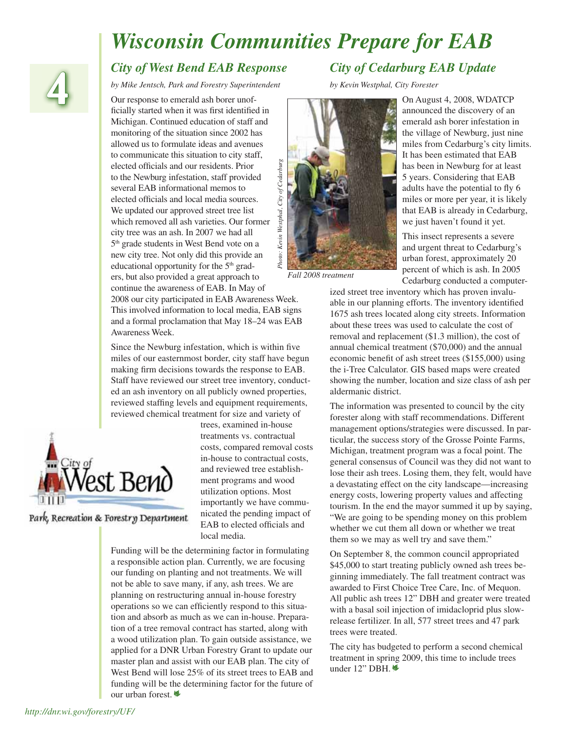# *Wisconsin Communities Prepare for EAB*



#### **4** *City of West Bend EAB Response*

*by Mike Jentsch, Park and Forestry Superintendent*

Our response to emerald ash borer unofficially started when it was first identified in Michigan. Continued education of staff and monitoring of the situation since 2002 has allowed us to formulate ideas and avenues to communicate this situation to city staff, Photo: Kevin Westphal, City of Cedarburg *Photo: Kevin Westphal, City of Cedarburg*elected officials and our residents. Prior to the Newburg infestation, staff provided several EAB informational memos to elected officials and local media sources. We updated our approved street tree list which removed all ash varieties. Our former city tree was an ash. In 2007 we had all 5th grade students in West Bend vote on a new city tree. Not only did this provide an educational opportunity for the  $5<sup>th</sup>$  graders, but also provided a great approach to continue the awareness of EAB. In May of 2008 our city participated in EAB Awareness Week. This involved information to local media, EAB signs and a formal proclamation that May 18–24 was EAB Awareness Week.

Since the Newburg infestation, which is within five miles of our easternmost border, city staff have begun making firm decisions towards the response to EAB. Staff have reviewed our street tree inventory, conducted an ash inventory on all publicly owned properties, reviewed staffing levels and equipment requirements, reviewed chemical treatment for size and variety of



Park, Recreation & Forestry Department

trees, examined in-house treatments vs. contractual costs, compared removal costs in-house to contractual costs, and reviewed tree establishment programs and wood utilization options. Most importantly we have communicated the pending impact of EAB to elected officials and local media.

Funding will be the determining factor in formulating a responsible action plan. Currently, we are focusing our funding on planting and not treatments. We will not be able to save many, if any, ash trees. We are planning on restructuring annual in-house forestry operations so we can efficiently respond to this situation and absorb as much as we can in-house. Preparation of a tree removal contract has started, along with a wood utilization plan. To gain outside assistance, we applied for a DNR Urban Forestry Grant to update our master plan and assist with our EAB plan. The city of West Bend will lose 25% of its street trees to EAB and funding will be the determining factor for the future of our urban forest.

#### *City of Cedarburg EAB Update*

*by Kevin Westphal, City Forester*



*Fall 2008 treatment*

On August 4, 2008, WDATCP announced the discovery of an emerald ash borer infestation in the village of Newburg, just nine miles from Cedarburg's city limits. It has been estimated that EAB has been in Newburg for at least 5 years. Considering that EAB adults have the potential to fly 6 miles or more per year, it is likely that EAB is already in Cedarburg, we just haven't found it yet.

This insect represents a severe and urgent threat to Cedarburg's urban forest, approximately 20 percent of which is ash. In 2005 Cedarburg conducted a computer-

ized street tree inventory which has proven invaluable in our planning efforts. The inventory identified 1675 ash trees located along city streets. Information about these trees was used to calculate the cost of removal and replacement (\$1.3 million), the cost of annual chemical treatment (\$70,000) and the annual economic benefit of ash street trees (\$155,000) using the i-Tree Calculator. GIS based maps were created showing the number, location and size class of ash per aldermanic district.

The information was presented to council by the city forester along with staff recommendations. Different management options/strategies were discussed. In particular, the success story of the Grosse Pointe Farms, Michigan, treatment program was a focal point. The general consensus of Council was they did not want to lose their ash trees. Losing them, they felt, would have a devastating effect on the city landscape—increasing energy costs, lowering property values and affecting tourism. In the end the mayor summed it up by saying, "We are going to be spending money on this problem whether we cut them all down or whether we treat them so we may as well try and save them."

On September 8, the common council appropriated \$45,000 to start treating publicly owned ash trees beginning immediately. The fall treatment contract was awarded to First Choice Tree Care, Inc. of Mequon. All public ash trees 12" DBH and greater were treated with a basal soil injection of imidacloprid plus slowrelease fertilizer. In all, 577 street trees and 47 park trees were treated.

The city has budgeted to perform a second chemical treatment in spring 2009, this time to include trees under  $12$ " DBH. $\frac{16}{3}$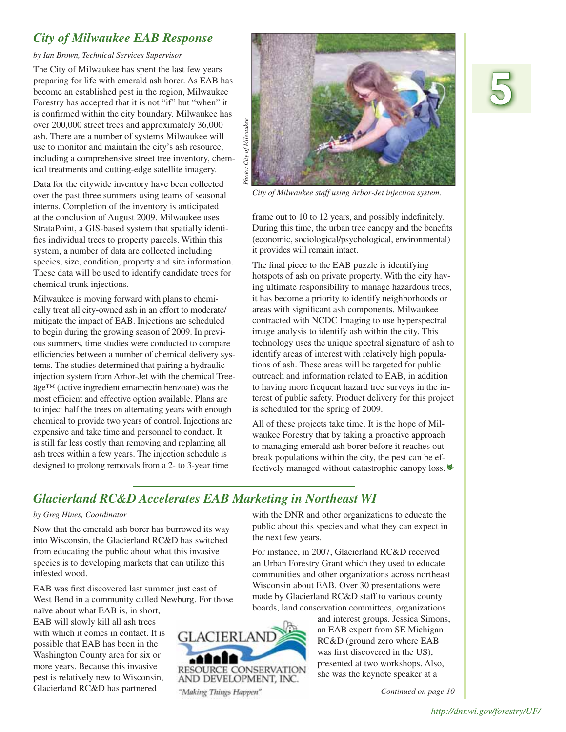#### *City of Milwaukee EAB Response*

*by Ian Brown, Technical Services Supervisor*

The City of Milwaukee has spent the last few years preparing for life with emerald ash borer. As EAB has become an established pest in the region, Milwaukee Forestry has accepted that it is not "if" but "when" it is confirmed within the city boundary. Milwaukee has over 200,000 street trees and approximately 36,000 ash. There are a number of systems Milwaukee will use to monitor and maintain the city's ash resource, including a comprehensive street tree inventory, chemical treatments and cutting-edge satellite imagery.

Data for the citywide inventory have been collected over the past three summers using teams of seasonal interns. Completion of the inventory is anticipated at the conclusion of August 2009. Milwaukee uses StrataPoint, a GIS-based system that spatially identifies individual trees to property parcels. Within this system, a number of data are collected including species, size, condition, property and site information. These data will be used to identify candidate trees for chemical trunk injections.

Milwaukee is moving forward with plans to chemically treat all city-owned ash in an effort to moderate/ mitigate the impact of EAB. Injections are scheduled to begin during the growing season of 2009. In previous summers, time studies were conducted to compare efficiencies between a number of chemical delivery systems. The studies determined that pairing a hydraulic injection system from Arbor-Jet with the chemical Treeäge™ (active ingredient emamectin benzoate) was the most efficient and effective option available. Plans are to inject half the trees on alternating years with enough chemical to provide two years of control. Injections are expensive and take time and personnel to conduct. It is still far less costly than removing and replanting all ash trees within a few years. The injection schedule is designed to prolong removals from a 2- to 3-year time



*City of Milwaukee staff using Arbor-Jet injection system.*

frame out to 10 to 12 years, and possibly indefinitely. During this time, the urban tree canopy and the benefits (economic, sociological/psychological, environmental) it provides will remain intact.

The final piece to the EAB puzzle is identifying hotspots of ash on private property. With the city having ultimate responsibility to manage hazardous trees, it has become a priority to identify neighborhoods or areas with significant ash components. Milwaukee contracted with NCDC Imaging to use hyperspectral image analysis to identify ash within the city. This technology uses the unique spectral signature of ash to identify areas of interest with relatively high populations of ash. These areas will be targeted for public outreach and information related to EAB, in addition to having more frequent hazard tree surveys in the interest of public safety. Product delivery for this project is scheduled for the spring of 2009.

All of these projects take time. It is the hope of Milwaukee Forestry that by taking a proactive approach to managing emerald ash borer before it reaches outbreak populations within the city, the pest can be effectively managed without catastrophic canopy loss.

with the DNR and other organizations to educate the public about this species and what they can expect in

For instance, in 2007, Glacierland RC&D received an Urban Forestry Grant which they used to educate communities and other organizations across northeast Wisconsin about EAB. Over 30 presentations were made by Glacierland RC&D staff to various county boards, land conservation committees, organizations

the next few years.

#### *Glacierland RC&D Accelerates EAB Marketing in Northeast WI*

#### *by Greg Hines, Coordinator*

Now that the emerald ash borer has burrowed its way into Wisconsin, the Glacierland RC&D has switched from educating the public about what this invasive species is to developing markets that can utilize this infested wood.

EAB was first discovered last summer just east of West Bend in a community called Newburg. For those

naïve about what EAB is, in short, EAB will slowly kill all ash trees with which it comes in contact. It is possible that EAB has been in the Washington County area for six or more years. Because this invasive pest is relatively new to Wisconsin, Glacierland RC&D has partnered



and interest groups. Jessica Simons, an EAB expert from SE Michigan RC&D (ground zero where EAB was first discovered in the US), presented at two workshops. Also, she was the keynote speaker at a

*Continued on page 10*

# **5**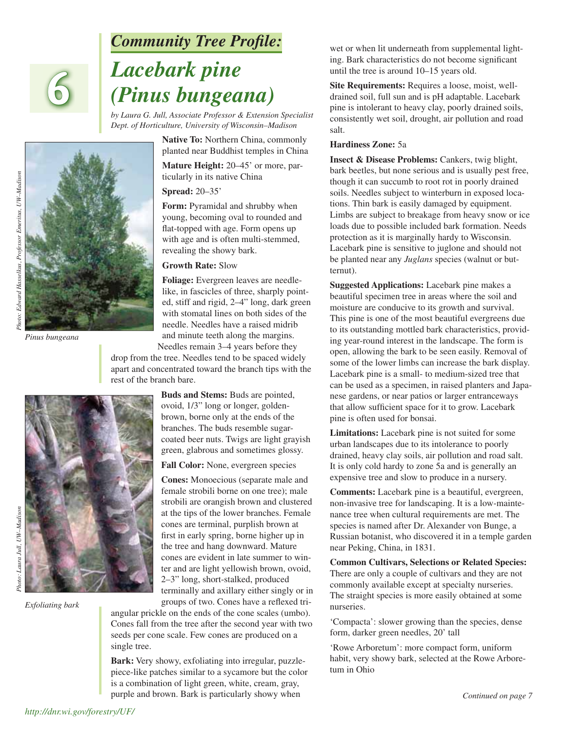## *Community Tree Profile:*

# *Lacebark pine (Pinus bungeana)*

*by Laura G. Jull, Associate Professor & Extension Specialist Dept. of Horticulture, University of Wisconsin–Madison*

> **Native To:** Northern China, commonly planted near Buddhist temples in China **Mature Height:** 20–45' or more, par-

ticularly in its native China

#### **Spread:** 20–35'

**Form:** Pyramidal and shrubby when young, becoming oval to rounded and flat-topped with age. Form opens up with age and is often multi-stemmed, revealing the showy bark.

#### **Growth Rate:** Slow

**Foliage:** Evergreen leaves are needlelike, in fascicles of three, sharply pointed, stiff and rigid, 2–4" long, dark green with stomatal lines on both sides of the needle. Needles have a raised midrib and minute teeth along the margins. Needles remain 3–4 years before they

drop from the tree. Needles tend to be spaced widely apart and concentrated toward the branch tips with the rest of the branch bare.

> **Buds and Stems:** Buds are pointed, ovoid, 1/3" long or longer, goldenbrown, borne only at the ends of the branches. The buds resemble sugarcoated beer nuts. Twigs are light grayish green, glabrous and sometimes glossy.

#### **Fall Color:** None, evergreen species

**Cones:** Monoecious (separate male and female strobili borne on one tree); male strobili are orangish brown and clustered at the tips of the lower branches. Female cones are terminal, purplish brown at first in early spring, borne higher up in the tree and hang downward. Mature cones are evident in late summer to winter and are light yellowish brown, ovoid, 2–3" long, short-stalked, produced terminally and axillary either singly or in groups of two. Cones have a reflexed tri-

angular prickle on the ends of the cone scales (umbo). Cones fall from the tree after the second year with two seeds per cone scale. Few cones are produced on a single tree.

**Bark:** Very showy, exfoliating into irregular, puzzlepiece-like patches similar to a sycamore but the color is a combination of light green, white, cream, gray, purple and brown. Bark is particularly showy when

wet or when lit underneath from supplemental lighting. Bark characteristics do not become significant until the tree is around 10–15 years old.

**Site Requirements:** Requires a loose, moist, welldrained soil, full sun and is pH adaptable. Lacebark pine is intolerant to heavy clay, poorly drained soils, consistently wet soil, drought, air pollution and road salt.

#### **Hardiness Zone:** 5a

**Insect & Disease Problems:** Cankers, twig blight, bark beetles, but none serious and is usually pest free, though it can succumb to root rot in poorly drained soils. Needles subject to winterburn in exposed locations. Thin bark is easily damaged by equipment. Limbs are subject to breakage from heavy snow or ice loads due to possible included bark formation. Needs protection as it is marginally hardy to Wisconsin. Lacebark pine is sensitive to juglone and should not be planted near any *Juglans* species (walnut or butternut).

**Suggested Applications:** Lacebark pine makes a beautiful specimen tree in areas where the soil and moisture are conducive to its growth and survival. This pine is one of the most beautiful evergreens due to its outstanding mottled bark characteristics, providing year-round interest in the landscape. The form is open, allowing the bark to be seen easily. Removal of some of the lower limbs can increase the bark display. Lacebark pine is a small- to medium-sized tree that can be used as a specimen, in raised planters and Japanese gardens, or near patios or larger entranceways that allow sufficient space for it to grow. Lacebark pine is often used for bonsai.

**Limitations:** Lacebark pine is not suited for some urban landscapes due to its intolerance to poorly drained, heavy clay soils, air pollution and road salt. It is only cold hardy to zone 5a and is generally an expensive tree and slow to produce in a nursery.

**Comments:** Lacebark pine is a beautiful, evergreen, non-invasive tree for landscaping. It is a low-maintenance tree when cultural requirements are met. The species is named after Dr. Alexander von Bunge, a Russian botanist, who discovered it in a temple garden near Peking, China, in 1831.

**Common Cultivars, Selections or Related Species:** There are only a couple of cultivars and they are not commonly available except at specialty nurseries. The straight species is more easily obtained at some nurseries.

'Compacta': slower growing than the species, dense form, darker green needles, 20' tall

'Rowe Arboretum': more compact form, uniform habit, very showy bark, selected at the Rowe Arboretum in Ohio

*Pinus bungeana*

**6**

Photo: Laura Jull, UW-Madison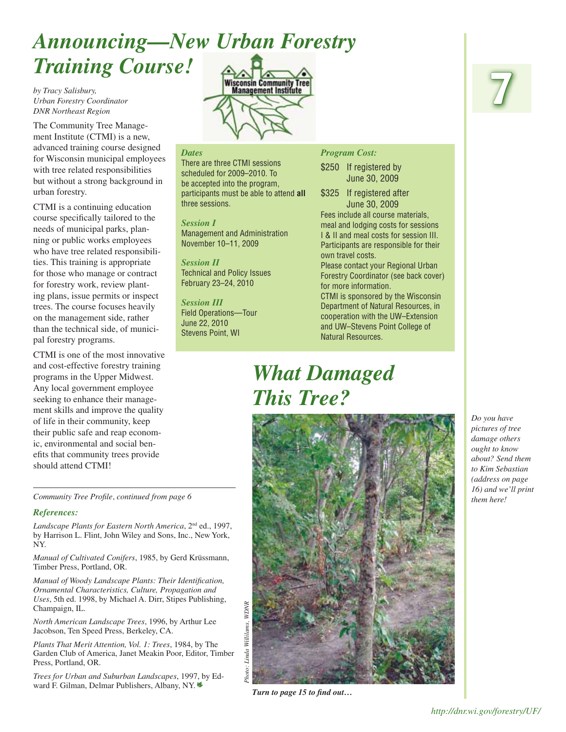# *Announcing—New Urban Forestry Training Course!* **Wisconsin Community Tree**<br>Management Institute

*by Tracy Salisbury, Urban Forestry Coordinator DNR Northeast Region*

The Community Tree Management Institute (CTMI) is a new, advanced training course designed for Wisconsin municipal employees with tree related responsibilities but without a strong background in urban forestry.

CTMI is a continuing education course specifically tailored to the needs of municipal parks, planning or public works employees who have tree related responsibilities. This training is appropriate for those who manage or contract for forestry work, review planting plans, issue permits or inspect trees. The course focuses heavily on the management side, rather than the technical side, of municipal forestry programs.

CTMI is one of the most innovative and cost-effective forestry training programs in the Upper Midwest. Any local government employee seeking to enhance their management skills and improve the quality of life in their community, keep their public safe and reap economic, environmental and social benefits that community trees provide should attend CTMI!

*Landscape Plants for Eastern North America*, 2nd ed., 1997, by Harrison L. Flint, John Wiley and Sons, Inc., New York,

*Manual of Cultivated Conifers*, 1985, by Gerd Krüssmann,

*Manual of Woody Landscape Plants: Their Identification, Ornamental Characteristics, Culture, Propagation and Uses*, 5th ed. 1998, by Michael A. Dirr, Stipes Publishing,

*North American Landscape Trees*, 1996, by Arthur Lee

*Plants That Merit Attention, Vol. 1: Trees*, 1984, by The Garden Club of America, Janet Meakin Poor, Editor, Timber

*Trees for Urban and Suburban Landscapes*, 1997, by Edward F. Gilman, Delmar Publishers, Albany, NY.|

Jacobson, Ten Speed Press, Berkeley, CA.

*References:*

Champaign, IL.

Press, Portland, OR.

Timber Press, Portland, OR.

NY.

#### *Dates*

There are three CTMI sessions scheduled for 2009–2010. To be accepted into the program, participants must be able to attend **all** three sessions.

*Session I* Management and Administration November 10–11, 2009

*Session II* Technical and Policy Issues February 23–24, 2010

*Session III* Field Operations—Tour June 22, 2010 Stevens Point, WI

#### *Program Cost:*

\$250 If registered by June 30, 2009

\$325 If registered after June 30, 2009 Fees include all course materials, meal and lodging costs for sessions I & II and meal costs for session III. Participants are responsible for their own travel costs.

Please contact your Regional Urban Forestry Coordinator (see back cover) for more information.

CTMI is sponsored by the Wisconsin Department of Natural Resources, in cooperation with the UW–Extension and UW–Stevens Point College of Natural Resources.

# *What Damaged This Tree?*



*Turn to page 15 to find out...* 

# **7**

*Do you have pictures of tree damage others ought to know about? Send them to Kim Sebastian (address on page 16) and we'll print*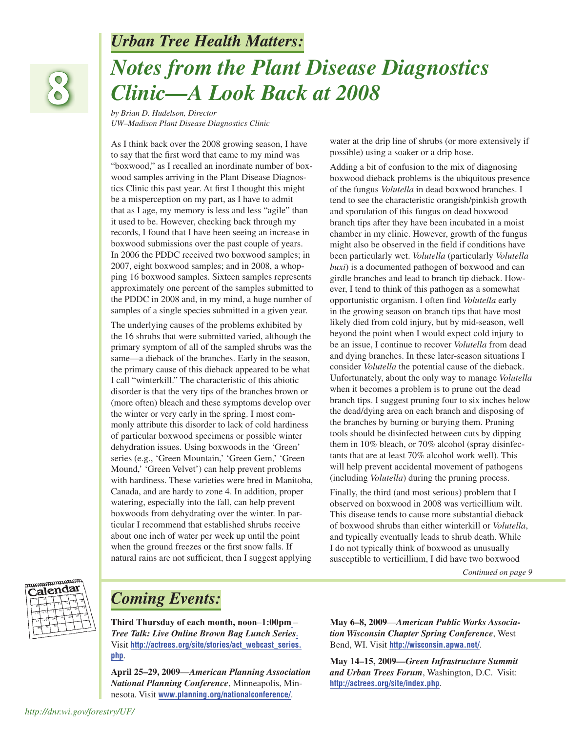#### *Urban Tree Health Matters:*



# *Notes from the Plant Disease Diagnostics Clinic—A Look Back at 2008*

*by Brian D. Hudelson, Director UW–Madison Plant Disease Diagnostics Clinic*

As I think back over the 2008 growing season, I have to say that the first word that came to my mind was "boxwood," as I recalled an inordinate number of boxwood samples arriving in the Plant Disease Diagnostics Clinic this past year. At first I thought this might be a misperception on my part, as I have to admit that as I age, my memory is less and less "agile" than it used to be. However, checking back through my records, I found that I have been seeing an increase in boxwood submissions over the past couple of years. In 2006 the PDDC received two boxwood samples; in 2007, eight boxwood samples; and in 2008, a whopping 16 boxwood samples. Sixteen samples represents approximately one percent of the samples submitted to the PDDC in 2008 and, in my mind, a huge number of samples of a single species submitted in a given year.

The underlying causes of the problems exhibited by the 16 shrubs that were submitted varied, although the primary symptom of all of the sampled shrubs was the same—a dieback of the branches. Early in the season, the primary cause of this dieback appeared to be what I call "winterkill." The characteristic of this abiotic disorder is that the very tips of the branches brown or (more often) bleach and these symptoms develop over the winter or very early in the spring. I most commonly attribute this disorder to lack of cold hardiness of particular boxwood specimens or possible winter dehydration issues. Using boxwoods in the 'Green' series (e.g., 'Green Mountain,' 'Green Gem,' 'Green Mound,' 'Green Velvet') can help prevent problems with hardiness. These varieties were bred in Manitoba, Canada, and are hardy to zone 4. In addition, proper watering, especially into the fall, can help prevent boxwoods from dehydrating over the winter. In particular I recommend that established shrubs receive about one inch of water per week up until the point when the ground freezes or the first snow falls. If natural rains are not sufficient, then I suggest applying

water at the drip line of shrubs (or more extensively if possible) using a soaker or a drip hose.

Adding a bit of confusion to the mix of diagnosing boxwood dieback problems is the ubiquitous presence of the fungus *Volutella* in dead boxwood branches. I tend to see the characteristic orangish/pinkish growth and sporulation of this fungus on dead boxwood branch tips after they have been incubated in a moist chamber in my clinic. However, growth of the fungus might also be observed in the field if conditions have been particularly wet. *Volutella* (particularly *Volutella buxi*) is a documented pathogen of boxwood and can girdle branches and lead to branch tip dieback. However, I tend to think of this pathogen as a somewhat opportunistic organism. I often find *Volutella* early in the growing season on branch tips that have most likely died from cold injury, but by mid-season, well beyond the point when I would expect cold injury to be an issue, I continue to recover *Volutella* from dead and dying branches. In these later-season situations I consider *Volutella* the potential cause of the dieback. Unfortunately, about the only way to manage *Volutella* when it becomes a problem is to prune out the dead branch tips. I suggest pruning four to six inches below the dead/dying area on each branch and disposing of the branches by burning or burying them. Pruning tools should be disinfected between cuts by dipping them in 10% bleach, or 70% alcohol (spray disinfectants that are at least 70% alcohol work well). This will help prevent accidental movement of pathogens (including *Volutella*) during the pruning process.

Finally, the third (and most serious) problem that I observed on boxwood in 2008 was verticillium wilt. This disease tends to cause more substantial dieback of boxwood shrubs than either winterkill or *Volutella*, and typically eventually leads to shrub death. While I do not typically think of boxwood as unusually susceptible to verticillium, I did have two boxwood

*Continued on page 9*



### *Coming Events:*

**Third Thursday of each month, noon–1:00pm –**  *Tree Talk: Live Online Brown Bag Lunch Series***.** Visit **[http://actrees.org/site/stories/act\\_webcast\\_series.](http://actrees.org/site/stories/act_webcast_series.php) php**.

**April 25–29, 2009**—*American Planning Association National Planning Conference*, Minneapolis, Minnesota. Visit **www.planning.org/nationalconference/**.

**May 6–8, 2009**—*American Public Works Association Wisconsin Chapter Spring Conference*, West Bend, WI. Visit **http://wisconsin.apwa.net/**.

**May 14–15, 2009—***Green Infrastructure Summit and Urban Trees Forum*, Washington, D.C. Visit: **http://actrees.org/site/index.php**.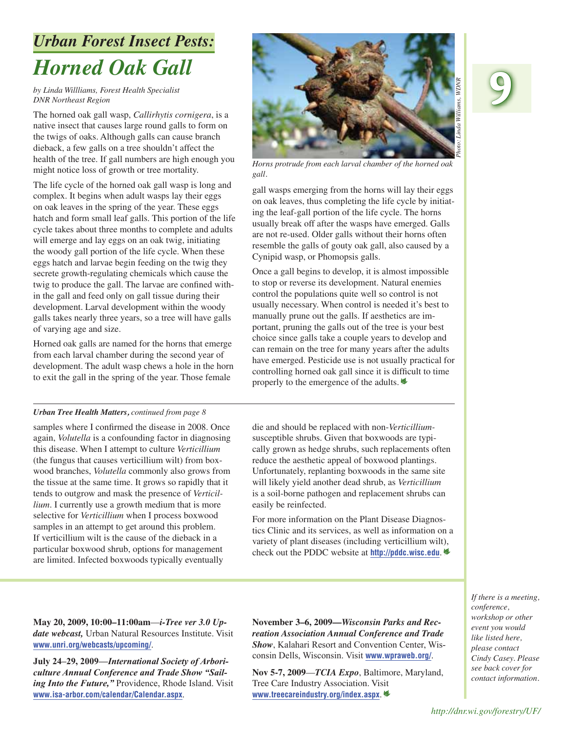# *Urban Forest Insect Pests: Horned Oak Gall*

*by Linda Willliams, Forest Health Specialist DNR Northeast Region*

The horned oak gall wasp, *Callirhytis cornigera*, is a native insect that causes large round galls to form on the twigs of oaks. Although galls can cause branch dieback, a few galls on a tree shouldn't affect the health of the tree. If gall numbers are high enough you might notice loss of growth or tree mortality.

The life cycle of the horned oak gall wasp is long and complex. It begins when adult wasps lay their eggs on oak leaves in the spring of the year. These eggs hatch and form small leaf galls. This portion of the life cycle takes about three months to complete and adults will emerge and lay eggs on an oak twig, initiating the woody gall portion of the life cycle. When these eggs hatch and larvae begin feeding on the twig they secrete growth-regulating chemicals which cause the twig to produce the gall. The larvae are confined within the gall and feed only on gall tissue during their development. Larval development within the woody galls takes nearly three years, so a tree will have galls of varying age and size.

Horned oak galls are named for the horns that emerge from each larval chamber during the second year of development. The adult wasp chews a hole in the horn to exit the gall in the spring of the year. Those female

#### *Urban Tree Health Matters, continued from page 8*

samples where I confirmed the disease in 2008. Once again, *Volutella* is a confounding factor in diagnosing this disease. When I attempt to culture *Verticillium*  (the fungus that causes verticillium wilt) from boxwood branches, *Volutella* commonly also grows from the tissue at the same time. It grows so rapidly that it tends to outgrow and mask the presence of *Verticillium*. I currently use a growth medium that is more selective for *Verticillium* when I process boxwood samples in an attempt to get around this problem. If verticillium wilt is the cause of the dieback in a particular boxwood shrub, options for management are limited. Infected boxwoods typically eventually

**9** *Photo: Linda Williams, WDNR*Linda Williams, WDNK

*Horns protrude from each larval chamber of the horned oak gall.*

gall wasps emerging from the horns will lay their eggs on oak leaves, thus completing the life cycle by initiating the leaf-gall portion of the life cycle. The horns usually break off after the wasps have emerged. Galls are not re-used. Older galls without their horns often resemble the galls of gouty oak gall, also caused by a Cynipid wasp, or Phomopsis galls.

Once a gall begins to develop, it is almost impossible to stop or reverse its development. Natural enemies control the populations quite well so control is not usually necessary. When control is needed it's best to manually prune out the galls. If aesthetics are important, pruning the galls out of the tree is your best choice since galls take a couple years to develop and can remain on the tree for many years after the adults have emerged. Pesticide use is not usually practical for controlling horned oak gall since it is difficult to time properly to the emergence of the adults.|

die and should be replaced with non-*Verticillium*susceptible shrubs. Given that boxwoods are typically grown as hedge shrubs, such replacements often reduce the aesthetic appeal of boxwood plantings. Unfortunately, replanting boxwoods in the same site will likely yield another dead shrub, as *Verticillium*  is a soil-borne pathogen and replacement shrubs can easily be reinfected.

For more information on the Plant Disease Diagnostics Clinic and its services, as well as information on a variety of plant diseases (including verticillium wilt), check out the PDDC website at **http://pddc.wisc.edu**.|

**May 20, 2009, 10:00–11:00am**—*i-Tree ver 3.0 Update webcast,* Urban Natural Resources Institute. Visit **www.unri.org/webcasts/upcoming/**.

**July 24–29, 2009—***International Society of Arboriculture Annual Conference and Trade Show "Sail*ing Into the Future," Providence, Rhode Island. Visit **www.isa-arbor.com/calendar/Calendar.aspx**.

**November 3–6, 2009—***Wisconsin Parks and Recreation Association Annual Conference and Trade Show*, Kalahari Resort and Convention Center, Wisconsin Dells, Wisconsin. Visit **www.wpraweb.org/**.

**Nov 5-7, 2009**—*TCIA Expo*, Baltimore, Maryland, Tree Care Industry Association. Visit **www.treecareindustry.org/index.aspx**.|

*If there is a meeting, conference, workshop or other event you would like listed here, please contact Cindy Casey. Please see back cover for contact information.*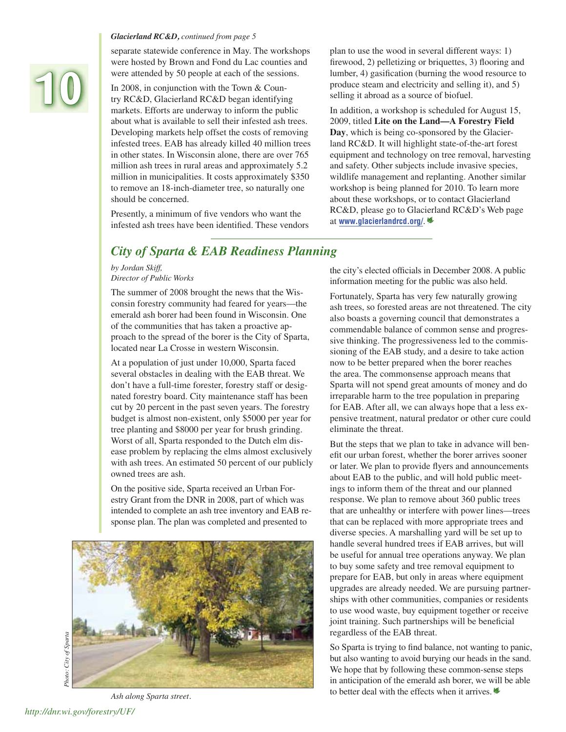# **10**

#### *Glacierland RC&D, continued from page 5*

separate statewide conference in May. The workshops were hosted by Brown and Fond du Lac counties and were attended by 50 people at each of the sessions.

In 2008, in conjunction with the Town & Country RC&D, Glacierland RC&D began identifying markets. Efforts are underway to inform the public about what is available to sell their infested ash trees. Developing markets help offset the costs of removing infested trees. EAB has already killed 40 million trees in other states. In Wisconsin alone, there are over 765 million ash trees in rural areas and approximately 5.2 million in municipalities. It costs approximately \$350 to remove an 18-inch-diameter tree, so naturally one should be concerned.

Presently, a minimum of five vendors who want the infested ash trees have been identified. These vendors plan to use the wood in several different ways: 1) firewood, 2) pelletizing or briquettes, 3) flooring and lumber, 4) gasification (burning the wood resource to produce steam and electricity and selling it), and 5) selling it abroad as a source of biofuel.

In addition, a workshop is scheduled for August 15, 2009, titled **Lite on the Land—A Forestry Field Day**, which is being co-sponsored by the Glacierland RC&D. It will highlight state-of-the-art forest equipment and technology on tree removal, harvesting and safety. Other subjects include invasive species, wildlife management and replanting. Another similar workshop is being planned for 2010. To learn more about these workshops, or to contact Glacierland RC&D, please go to Glacierland RC&D's Web page at **www.glacierlandrcd.org/**.|

#### *City of Sparta & EAB Readiness Planning*

*by Jordan Skiff, Director of Public Works*

The summer of 2008 brought the news that the Wisconsin forestry community had feared for years—the emerald ash borer had been found in Wisconsin. One of the communities that has taken a proactive approach to the spread of the borer is the City of Sparta, located near La Crosse in western Wisconsin.

At a population of just under 10,000, Sparta faced several obstacles in dealing with the EAB threat. We don't have a full-time forester, forestry staff or designated forestry board. City maintenance staff has been cut by 20 percent in the past seven years. The forestry budget is almost non-existent, only \$5000 per year for tree planting and \$8000 per year for brush grinding. Worst of all, Sparta responded to the Dutch elm disease problem by replacing the elms almost exclusively with ash trees. An estimated 50 percent of our publicly owned trees are ash.

On the positive side, Sparta received an Urban Forestry Grant from the DNR in 2008, part of which was intended to complete an ash tree inventory and EAB response plan. The plan was completed and presented to



the city's elected officials in December 2008. A public information meeting for the public was also held.

Fortunately, Sparta has very few naturally growing ash trees, so forested areas are not threatened. The city also boasts a governing council that demonstrates a commendable balance of common sense and progressive thinking. The progressiveness led to the commissioning of the EAB study, and a desire to take action now to be better prepared when the borer reaches the area. The commonsense approach means that Sparta will not spend great amounts of money and do irreparable harm to the tree population in preparing for EAB. After all, we can always hope that a less expensive treatment, natural predator or other cure could eliminate the threat.

But the steps that we plan to take in advance will benefit our urban forest, whether the borer arrives sooner or later. We plan to provide flyers and announcements about EAB to the public, and will hold public meetings to inform them of the threat and our planned response. We plan to remove about 360 public trees that are unhealthy or interfere with power lines—trees that can be replaced with more appropriate trees and diverse species. A marshalling yard will be set up to handle several hundred trees if EAB arrives, but will be useful for annual tree operations anyway. We plan to buy some safety and tree removal equipment to prepare for EAB, but only in areas where equipment upgrades are already needed. We are pursuing partnerships with other communities, companies or residents to use wood waste, buy equipment together or receive joint training. Such partnerships will be beneficial regardless of the EAB threat.

So Sparta is trying to find balance, not wanting to panic, but also wanting to avoid burying our heads in the sand. We hope that by following these common-sense steps in anticipation of the emerald ash borer, we will be able Ash along Sparta street. **Ash along Sparta street. Ash along Sparta street.** *Ash along Sparta street.*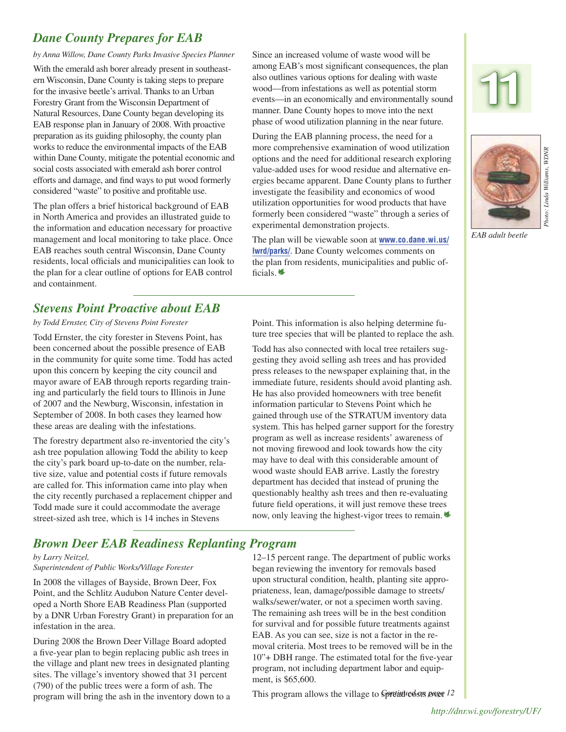#### *Dane County Prepares for EAB*

*by Anna Willow, Dane County Parks Invasive Species Planner*

With the emerald ash borer already present in southeastern Wisconsin, Dane County is taking steps to prepare for the invasive beetle's arrival. Thanks to an Urban Forestry Grant from the Wisconsin Department of Natural Resources, Dane County began developing its EAB response plan in January of 2008. With proactive preparation as its guiding philosophy, the county plan works to reduce the environmental impacts of the EAB within Dane County, mitigate the potential economic and social costs associated with emerald ash borer control efforts and damage, and find ways to put wood formerly considered "waste" to positive and profitable use.

The plan offers a brief historical background of EAB in North America and provides an illustrated guide to the information and education necessary for proactive management and local monitoring to take place. Once EAB reaches south central Wisconsin, Dane County residents, local officials and municipalities can look to the plan for a clear outline of options for EAB control and containment.

#### *Stevens Point Proactive about EAB*

#### *by Todd Ernster, City of Stevens Point Forester*

Todd Ernster, the city forester in Stevens Point, has been concerned about the possible presence of EAB in the community for quite some time. Todd has acted upon this concern by keeping the city council and mayor aware of EAB through reports regarding training and particularly the field tours to Illinois in June of 2007 and the Newburg, Wisconsin, infestation in September of 2008. In both cases they learned how these areas are dealing with the infestations.

The forestry department also re-inventoried the city's ash tree population allowing Todd the ability to keep the city's park board up-to-date on the number, relative size, value and potential costs if future removals are called for. This information came into play when the city recently purchased a replacement chipper and Todd made sure it could accommodate the average street-sized ash tree, which is 14 inches in Stevens

Since an increased volume of waste wood will be among EAB's most significant consequences, the plan also outlines various options for dealing with waste wood—from infestations as well as potential storm events—in an economically and environmentally sound manner. Dane County hopes to move into the next phase of wood utilization planning in the near future.

During the EAB planning process, the need for a more comprehensive examination of wood utilization options and the need for additional research exploring value-added uses for wood residue and alternative energies became apparent. Dane County plans to further investigate the feasibility and economics of wood utilization opportunities for wood products that have formerly been considered "waste" through a series of experimental demonstration projects.

The plan will be viewable soon at **[www.co.dane.wi.us/](www.co.dane.wi.us/lwrd/parks/) [lwrd/parks/](www.co.dane.wi.us/lwrd/parks/)**. Dane County welcomes comments on the plan from residents, municipalities and public officials. $\triangleq$ 





*EAB adult beetle*

Point. This information is also helping determine future tree species that will be planted to replace the ash.

Todd has also connected with local tree retailers suggesting they avoid selling ash trees and has provided press releases to the newspaper explaining that, in the immediate future, residents should avoid planting ash. He has also provided homeowners with tree benefit information particular to Stevens Point which he gained through use of the STRATUM inventory data system. This has helped garner support for the forestry program as well as increase residents' awareness of not moving firewood and look towards how the city may have to deal with this considerable amount of wood waste should EAB arrive. Lastly the forestry department has decided that instead of pruning the questionably healthy ash trees and then re-evaluating future field operations, it will just remove these trees now, only leaving the highest-vigor trees to remain.

#### *Brown Deer EAB Readiness Replanting Program*

#### *by Larry Neitzel,*

*Superintendent of Public Works/Village Forester*

In 2008 the villages of Bayside, Brown Deer, Fox Point, and the Schlitz Audubon Nature Center developed a North Shore EAB Readiness Plan (supported by a DNR Urban Forestry Grant) in preparation for an infestation in the area.

During 2008 the Brown Deer Village Board adopted a five-year plan to begin replacing public ash trees in the village and plant new trees in designated planting sites. The village's inventory showed that 31 percent (790) of the public trees were a form of ash. The program will bring the ash in the inventory down to a 12–15 percent range. The department of public works began reviewing the inventory for removals based upon structural condition, health, planting site appropriateness, lean, damage/possible damage to streets/ walks/sewer/water, or not a specimen worth saving. The remaining ash trees will be in the best condition for survival and for possible future treatments against EAB. As you can see, size is not a factor in the removal criteria. Most trees to be removed will be in the 10"+ DBH range. The estimated total for the five-year program, not including department labor and equipment, is \$65,600.

This program allows the village to *Spretinued sum page 12*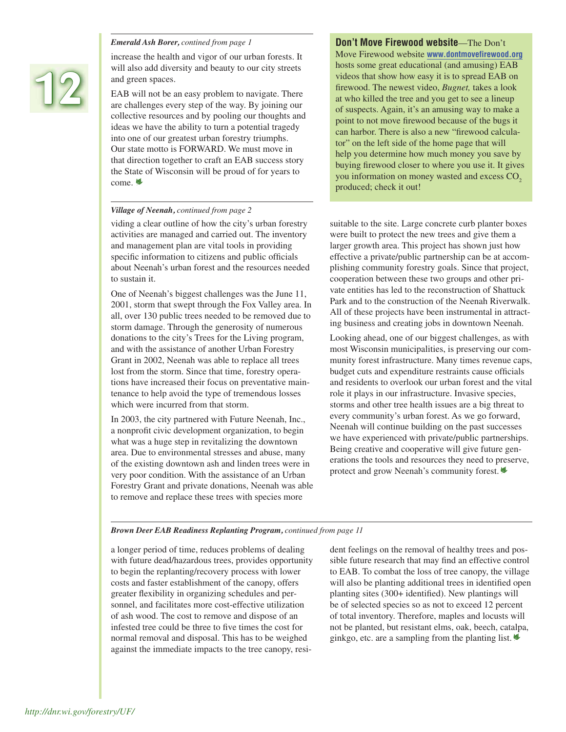# **12**

increase the health and vigor of our urban forests. It will also add diversity and beauty to our city streets and green spaces.

EAB will not be an easy problem to navigate. There are challenges every step of the way. By joining our collective resources and by pooling our thoughts and ideas we have the ability to turn a potential tragedy into one of our greatest urban forestry triumphs. Our state motto is FORWARD. We must move in that direction together to craft an EAB success story the State of Wisconsin will be proud of for years to come.  $\triangleleft$ 

#### *Village of Neenah, continued from page 2*

viding a clear outline of how the city's urban forestry activities are managed and carried out. The inventory and management plan are vital tools in providing specific information to citizens and public officials about Neenah's urban forest and the resources needed to sustain it.

One of Neenah's biggest challenges was the June 11, 2001, storm that swept through the Fox Valley area. In all, over 130 public trees needed to be removed due to storm damage. Through the generosity of numerous donations to the city's Trees for the Living program, and with the assistance of another Urban Forestry Grant in 2002, Neenah was able to replace all trees lost from the storm. Since that time, forestry operations have increased their focus on preventative maintenance to help avoid the type of tremendous losses which were incurred from that storm.

In 2003, the city partnered with Future Neenah, Inc., a nonprofit civic development organization, to begin what was a huge step in revitalizing the downtown area. Due to environmental stresses and abuse, many of the existing downtown ash and linden trees were in very poor condition. With the assistance of an Urban Forestry Grant and private donations, Neenah was able to remove and replace these trees with species more

#### *Emerald Ash Borer, contined from page 1* **Don't Move Firewood website**—The Don't

Move Firewood website **www.dontmovefirewood.org** hosts some great educational (and amusing) EAB videos that show how easy it is to spread EAB on firewood. The newest video, *Bugnet*, takes a look at who killed the tree and you get to see a lineup of suspects. Again, it's an amusing way to make a point to not move firewood because of the bugs it can harbor. There is also a new "firewood calculator" on the left side of the home page that will help you determine how much money you save by buying firewood closer to where you use it. It gives you information on money wasted and excess CO<sub>2</sub> produced; check it out!

suitable to the site. Large concrete curb planter boxes were built to protect the new trees and give them a larger growth area. This project has shown just how effective a private/public partnership can be at accomplishing community forestry goals. Since that project, cooperation between these two groups and other private entities has led to the reconstruction of Shattuck Park and to the construction of the Neenah Riverwalk. All of these projects have been instrumental in attracting business and creating jobs in downtown Neenah.

Looking ahead, one of our biggest challenges, as with most Wisconsin municipalities, is preserving our community forest infrastructure. Many times revenue caps, budget cuts and expenditure restraints cause officials and residents to overlook our urban forest and the vital role it plays in our infrastructure. Invasive species, storms and other tree health issues are a big threat to every community's urban forest. As we go forward, Neenah will continue building on the past successes we have experienced with private/public partnerships. Being creative and cooperative will give future generations the tools and resources they need to preserve, protect and grow Neenah's community forest.|

#### *Brown Deer EAB Readiness Replanting Program, continued from page 11*

a longer period of time, reduces problems of dealing with future dead/hazardous trees, provides opportunity to begin the replanting/recovery process with lower costs and faster establishment of the canopy, offers greater flexibility in organizing schedules and personnel, and facilitates more cost-effective utilization of ash wood. The cost to remove and dispose of an infested tree could be three to five times the cost for normal removal and disposal. This has to be weighed against the immediate impacts to the tree canopy, resident feelings on the removal of healthy trees and possible future research that may find an effective control to EAB. To combat the loss of tree canopy, the village will also be planting additional trees in identified open planting sites (300+ identified). New plantings will be of selected species so as not to exceed 12 percent of total inventory. Therefore, maples and locusts will not be planted, but resistant elms, oak, beech, catalpa, ginkgo, etc. are a sampling from the planting list.  $\triangleq$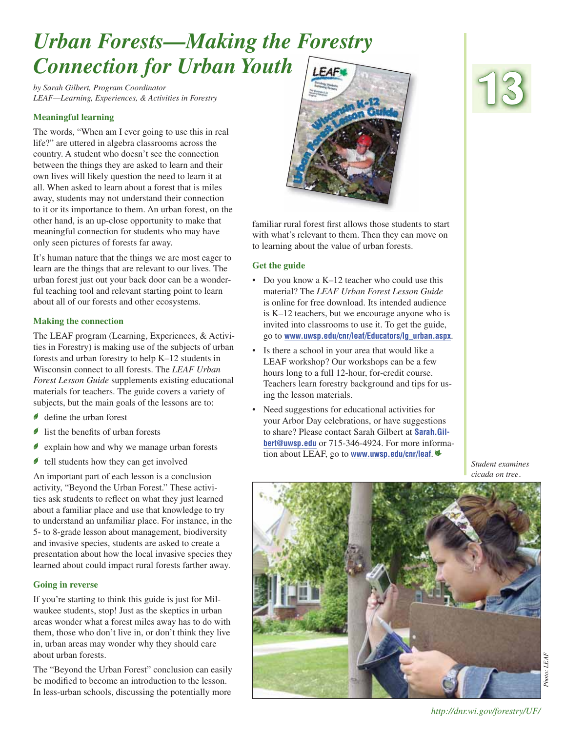# *Urban Forests—Making the Forestry Connection for Urban Youth*

*by Sarah Gilbert, Program Coordinator LEAF—Learning, Experiences, & Activities in Forestry*

#### **Meaningful learning**

The words, "When am I ever going to use this in real life?" are uttered in algebra classrooms across the country. A student who doesn't see the connection between the things they are asked to learn and their own lives will likely question the need to learn it at all. When asked to learn about a forest that is miles away, students may not understand their connection to it or its importance to them. An urban forest, on the other hand, is an up-close opportunity to make that meaningful connection for students who may have only seen pictures of forests far away.

It's human nature that the things we are most eager to learn are the things that are relevant to our lives. The urban forest just out your back door can be a wonderful teaching tool and relevant starting point to learn about all of our forests and other ecosystems.

#### **Making the connection**

The LEAF program (Learning, Experiences, & Activities in Forestry) is making use of the subjects of urban forests and urban forestry to help K–12 students in Wisconsin connect to all forests. The *LEAF Urban Forest Lesson Guide* supplements existing educational materials for teachers. The guide covers a variety of subjects, but the main goals of the lessons are to:

- $\bullet$  define the urban forest
- $\bullet$  list the benefits of urban forests
- $\bullet$  explain how and why we manage urban forests
- $\bullet$  tell students how they can get involved

An important part of each lesson is a conclusion activity, "Beyond the Urban Forest." These activities ask students to reflect on what they just learned about a familiar place and use that knowledge to try to understand an unfamiliar place. For instance, in the 5- to 8-grade lesson about management, biodiversity and invasive species, students are asked to create a presentation about how the local invasive species they learned about could impact rural forests farther away.

#### **Going in reverse**

If you're starting to think this guide is just for Milwaukee students, stop! Just as the skeptics in urban areas wonder what a forest miles away has to do with them, those who don't live in, or don't think they live in, urban areas may wonder why they should care about urban forests.

The "Beyond the Urban Forest" conclusion can easily be modified to become an introduction to the lesson. In less-urban schools, discussing the potentially more



familiar rural forest first allows those students to start with what's relevant to them. Then they can move on to learning about the value of urban forests.

#### **Get the guide**

- Do you know a K–12 teacher who could use this material? The *LEAF Urban Forest Lesson Guide* is online for free download. Its intended audience is K–12 teachers, but we encourage anyone who is invited into classrooms to use it. To get the guide, go to **www.uwsp.edu/cnr/leaf/Educators/lg\_urban.aspx**.
- Is there a school in your area that would like a LEAF workshop? Our workshops can be a few hours long to a full 12-hour, for-credit course. Teachers learn forestry background and tips for using the lesson materials.
- Need suggestions for educational activities for your Arbor Day celebrations, or have suggestions to share? Please contact Sarah Gilbert at **Sarah.Gilbert@uwsp.edu** or 715-346-4924. For more information about LEAF, go to **www.uwsp.edu/cnr/leaf**.|

*Student examines cicada on tree.*



**13**

Photo: LEAF *Photo: LEAF*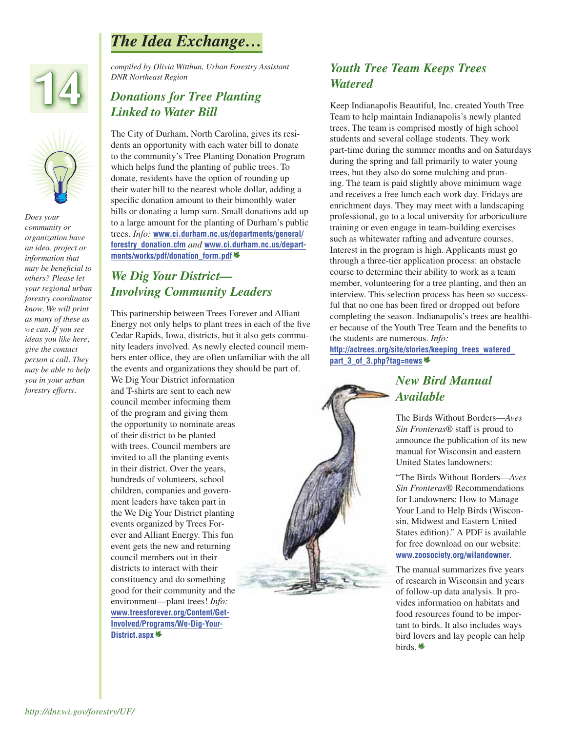## *The Idea Exchange…*





*Does your community or organization have an idea, project or information that*  may be beneficial to *others? Please let your regional urban forestry coordinator know. We will print as many of these as we can. If you see ideas you like here, give the contact person a call. They may be able to help you in your urban forestry efforts.*

*compiled by Olivia Witthun, Urban Forestry Assistant DNR Northeast Region*

#### *Donations for Tree Planting Linked to Water Bill*

The City of Durham, North Carolina, gives its residents an opportunity with each water bill to donate to the community's Tree Planting Donation Program which helps fund the planting of public trees. To donate, residents have the option of rounding up their water bill to the nearest whole dollar, adding a specific donation amount to their bimonthly water bills or donating a lump sum. Small donations add up to a large amount for the planting of Durham's public trees. *Info:* **[www.ci.durham.nc.us/departments/general/](www.ci.durham.nc.us/departments/general/forestry_donation.cfm) [forestry\\_donation.cfm](www.ci.durham.nc.us/departments/general/forestry_donation.cfm)** *and* **[www.ci.durham.nc.us/depart](www.ci.durham.nc.us/departments/works/pdf/donation_form.pdf)[ments/works/pdf/donation\\_form.pdf](www.ci.durham.nc.us/departments/works/pdf/donation_form.pdf)**|

#### *We Dig Your District— Involving Community Leaders*

This partnership between Trees Forever and Alliant Energy not only helps to plant trees in each of the five Cedar Rapids, Iowa, districts, but it also gets community leaders involved. As newly elected council members enter office, they are often unfamiliar with the all the events and organizations they should be part of.

We Dig Your District information and T-shirts are sent to each new council member informing them of the program and giving them the opportunity to nominate areas of their district to be planted with trees. Council members are invited to all the planting events in their district. Over the years, hundreds of volunteers, school children, companies and government leaders have taken part in the We Dig Your District planting events organized by Trees Forever and Alliant Energy. This fun event gets the new and returning council members out in their districts to interact with their constituency and do something good for their community and the environment—plant trees! *Info:*  **[www.treesforever.org/Content/Get-](www.treesforever.org/Content/Get-Involved/Programs/We-Dig-Your-District.aspx)[Involved/Programs/We-Dig-Your-](www.treesforever.org/Content/Get-Involved/Programs/We-Dig-Your-District.aspx)[District.aspx](www.treesforever.org/Content/Get-Involved/Programs/We-Dig-Your-District.aspx)**|

#### *Youth Tree Team Keeps Trees Watered*

Keep Indianapolis Beautiful, Inc. created Youth Tree Team to help maintain Indianapolis's newly planted trees. The team is comprised mostly of high school students and several collage students. They work part-time during the summer months and on Saturdays during the spring and fall primarily to water young trees, but they also do some mulching and pruning. The team is paid slightly above minimum wage and receives a free lunch each work day. Fridays are enrichment days. They may meet with a landscaping professional, go to a local university for arboriculture training or even engage in team-building exercises such as whitewater rafting and adventure courses. Interest in the program is high. Applicants must go through a three-tier application process: an obstacle course to determine their ability to work as a team member, volunteering for a tree planting, and then an interview. This selection process has been so successful that no one has been fired or dropped out before completing the season. Indianapolis's trees are healthier because of the Youth Tree Team and the benefits to the students are numerous. *Info:*

**[http://actrees.org/site/stories/keeping\\_trees\\_watered\\_](http://actrees.org/site/stories/keeping_trees_watered_part_3_of_3.php?tag=news) [part\\_3\\_of\\_3.php?tag=news](http://actrees.org/site/stories/keeping_trees_watered_part_3_of_3.php?tag=news)**|

#### *New Bird Manual Available*

The Birds Without Borders—*Aves Sin Fronteras*® staff is proud to announce the publication of its new manual for Wisconsin and eastern United States landowners:

"The Birds Without Borders—*Aves Sin Fronteras*® Recommendations for Landowners: How to Manage Your Land to Help Birds (Wisconsin, Midwest and Eastern United States edition)." A PDF is available for free download on our website: **www.zoosociety.org/wilandowner.**

The manual summarizes five years of research in Wisconsin and years of follow-up data analysis. It provides information on habitats and food resources found to be important to birds. It also includes ways bird lovers and lay people can help birds.|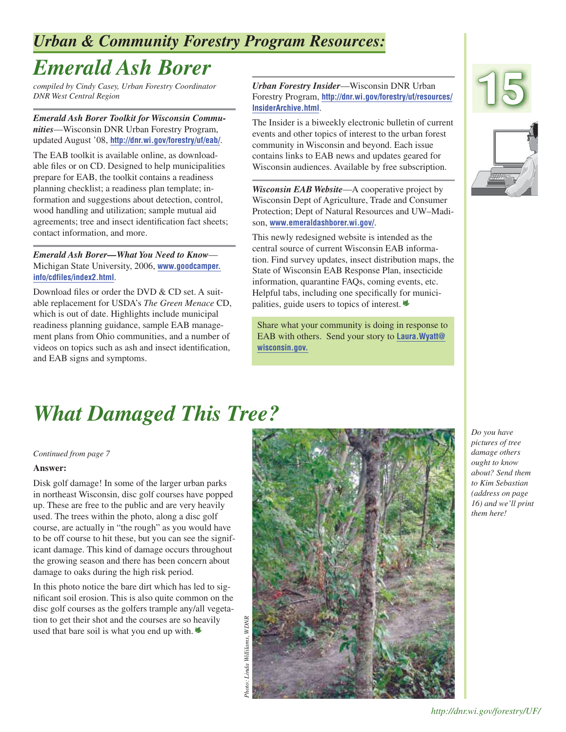## *Urban & Community Forestry Program Resources:*

# *Emerald Ash Borer*

*compiled by Cindy Casey, Urban Forestry Coordinator DNR West Central Region*

*Emerald Ash Borer Toolkit for Wisconsin Communities*—Wisconsin DNR Urban Forestry Program, updated August '08, **http://dnr.wi.gov/forestry/uf/eab/**.

The EAB toolkit is available online, as downloadable files or on CD. Designed to help municipalities prepare for EAB, the toolkit contains a readiness planning checklist; a readiness plan template; information and suggestions about detection, control, wood handling and utilization; sample mutual aid agreements; tree and insect identification fact sheets; contact information, and more.

*Emerald Ash Borer—What You Need to Know*— Michigan State University, 2006, **[www.goodcamper.](www.goodcamper.info/cdfiles/index2.html) [info/cdfiles/index2.html](www.goodcamper.info/cdfiles/index2.html)**.

Download files or order the DVD & CD set. A suitable replacement for USDA's *The Green Menace* CD, which is out of date. Highlights include municipal readiness planning guidance, sample EAB management plans from Ohio communities, and a number of videos on topics such as ash and insect identification, and EAB signs and symptoms.

*Urban Forestry Insider*—Wisconsin DNR Urban Forestry Program, **[http://dnr.wi.gov/forestry/uf/resources/](http://dnr.wi.gov/forestry/uf/resources/InsiderArchive.html) [InsiderArchive.html](http://dnr.wi.gov/forestry/uf/resources/InsiderArchive.html)**.

The Insider is a biweekly electronic bulletin of current events and other topics of interest to the urban forest community in Wisconsin and beyond. Each issue contains links to EAB news and updates geared for Wisconsin audiences. Available by free subscription.

*Wisconsin EAB Website*—A cooperative project by Wisconsin Dept of Agriculture, Trade and Consumer Protection; Dept of Natural Resources and UW–Madison, **www.emeraldashborer.wi.gov/**.

This newly redesigned website is intended as the central source of current Wisconsin EAB information. Find survey updates, insect distribution maps, the State of Wisconsin EAB Response Plan, insecticide information, quarantine FAQs, coming events, etc. Helpful tabs, including one specifically for municipalities, guide users to topics of interest.|

Share what your community is doing in response to EAB with others. Send your story to **Laura.Wyatt@ wisconsin.gov.**





# *What Damaged This Tree?*

*Continued from page 7*

#### **Answer:**

Disk golf damage! In some of the larger urban parks in northeast Wisconsin, disc golf courses have popped up. These are free to the public and are very heavily used. The trees within the photo, along a disc golf course, are actually in "the rough" as you would have to be off course to hit these, but you can see the significant damage. This kind of damage occurs throughout the growing season and there has been concern about damage to oaks during the high risk period.

In this photo notice the bare dirt which has led to significant soil erosion. This is also quite common on the disc golf courses as the golfers trample any/all vegetation to get their shot and the courses are so heavily used that bare soil is what you end up with. $\triangleq$ 



*Do you have pictures of tree damage others ought to know about? Send them to Kim Sebastian (address on page 16) and we'll print them here!*